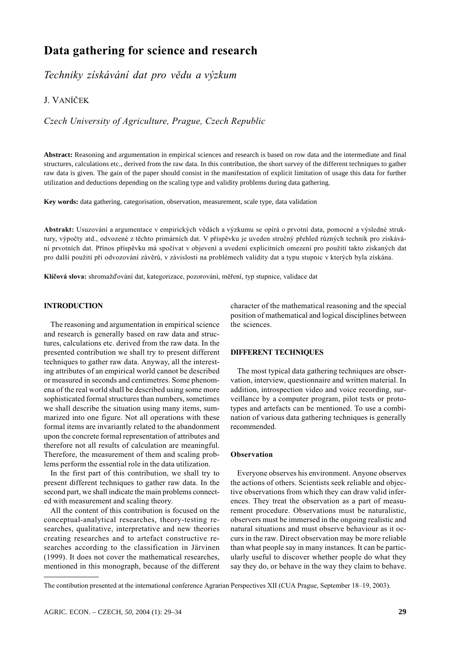# Data gathering for science and research

Techniky získávání dat pro vědu a výzkum

J. VANÍČEK

Czech University of Agriculture, Prague, Czech Republic

**Abstract:** Reasoning and argumentation in empirical sciences and research is based on row data and the intermediate and final structures, calculations etc., derived from the raw data. In this contribution, the short survey of the different techniques to gather raw data is given. The gain of the paper should consist in the manifestation of explicit limitation of usage this data for further utilization and deductions depending on the scaling type and validity problems during data gathering.

**Key words:** data gathering, categorisation, observation, measurement, scale type, data validation

Abstrakt: Usuzování a argumentace v empirických vědách a výzkumu se opírá o prvotní data, pomocné a výsledné struktury, výpočty atd., odvozené z těchto primárních dat. V příspěvku je uveden stručný přehled různých technik pro získávání prvotních dat. Přínos příspěvku má spočívat v objevení a uvedení explicitních omezení pro použití takto získaných dat pro další použití při odvozování závěrů, v závislosti na problémech validity dat a typu stupnic v kterých byla získána.

Klíčová slova: shromažďování dat, kategorizace, pozorování, měření, typ stupnice, validace dat

#### **INTRODUCTION**

The reasoning and argumentation in empirical science and research is generally based on raw data and structures, calculations etc. derived from the raw data. In the presented contribution we shall try to present different techniques to gather raw data. Anyway, all the interesting attributes of an empirical world cannot be described or measured in seconds and centimetres. Some phenomena of the real world shall be described using some more sophisticated formal structures than numbers, sometimes we shall describe the situation using many items, summarized into one figure. Not all operations with these formal items are invariantly related to the abandonment upon the concrete formal representation of attributes and therefore not all results of calculation are meaningful. Therefore, the measurement of them and scaling problems perform the essential role in the data utilization.

In the first part of this contribution, we shall try to present different techniques to gather raw data. In the second part, we shall indicate the main problems connected with measurement and scaling theory.

All the content of this contribution is focused on the conceptual-analytical researches, theory-testing researches, qualitative, interpretative and new theories creating researches and to artefact constructive researches according to the classification in Järvinen (1999). It does not cover the mathematical researches, mentioned in this monograph, because of the different character of the mathematical reasoning and the special position of mathematical and logical disciplines between the sciences.

### DIFFERENT TECHNIQUES

The most typical data gathering techniques are observation, interview, questionnaire and written material. In addition, introspection video and voice recording, surveillance by a computer program, pilot tests or prototypes and artefacts can be mentioned. To use a combination of various data gathering techniques is generally recommended.

# **Observation**

Everyone observes his environment. Anyone observes the actions of others. Scientists seek reliable and objective observations from which they can draw valid inferences. They treat the observation as a part of measurement procedure. Observations must be naturalistic, observers must be immersed in the ongoing realistic and natural situations and must observe behaviour as it occurs in the raw. Direct observation may be more reliable than what people say in many instances. It can be particularly useful to discover whether people do what they say they do, or behave in the way they claim to behave.

The contibution presented at the international conference Agrarian Perspectives XII (CUA Prague, September 18–19, 2003).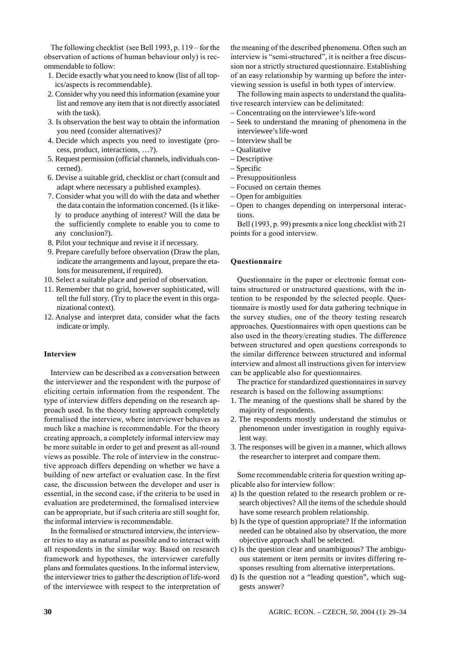The following checklist (see Bell 1993, p.  $119 -$  for the observation of actions of human behaviour only) is recommendable to follow:

- 1. Decide exactly what you need to know (list of all topics/aspects is recommendable).
- 2. Consider why you need this information (examine your list and remove any item that is not directly associated with the task).
- 3. Is observation the best way to obtain the information you need (consider alternatives)?
- 4. Decide which aspects you need to investigate (pro cess, product, interactions, …?).
- 5. Request permission (official channels, individuals con cerned).
- 6. Devise a suitable grid, checklist or chart (consult and adapt where necessary a published examples).
- 7. Consider what you will do with the data and whether the data contain the information concerned. (Is it likely to produce anything of interest? Will the data be the sufficiently complete to enable you to come to any conclusion?).
- 8. Pilot your technique and revise it if necessary.
- 9. Prepare carefully before observation (Draw the plan, indicate the arrangements and layout, prepare the eta lons for measurement, if required).
- 10. Select a suitable place and period of observation.
- 11. Remember that no grid, however sophisticated, will tell the full story. (Try to place the event in this orga nizational context).
- 12. Analyse and interpret data, consider what the facts indicate or imply.

# Interview

Interview can be described as a conversation between the interviewer and the respondent with the purpose of eliciting certain information from the respondent. The type of interview differs depending on the research approach used. In the theory testing approach completely formalised the interview, where interviewer behaves as much like a machine is recommendable. For the theory creating approach, a completely informal interview may be more suitable in order to get and present as all-round views as possible. The role of interview in the constructive approach differs depending on whether we have a building of new artefact or evaluation case. In the first case, the discussion between the developer and user is essential, in the second case, if the criteria to be used in evaluation are predetermined, the formalised interview can be appropriate, but if such criteria are still sought for, the informal interview is recommendable.

In the formalised or structured interview, the interviewer tries to stay as natural as possible and to interact with all respondents in the similar way. Based on research framework and hypotheses, the interviewer carefully plans and formulates questions. In the informal interview, the interviewer tries to gather the description of life-word of the interviewee with respect to the interpretation of the meaning of the described phenomena. Often such an interview is "semi-structured", it is neither a free discussion nor a strictly structured questionnaire. Establishing of an easy relationship by warming up before the interviewing session is useful in both types of interview.

The following main aspects to understand the qualitative research interview can be delimitated:

- Concentrating on the interviewee's life-word
- Seek to understand the meaning of phenomena in the interviewee's life-word
- Interview shall be
- Qualitative
- Descriptive
- Specific
- Presuppositionless
- Focused on certain themes
- Open for ambiguities
- Open to changes depending on interpersonal interactions.

Bell (1993, p. 99) presents a nice long checklist with 21 points for a good interview.

## **Ouestionnaire**

Questionnaire in the paper or electronic format contains structured or unstructured questions, with the intention to be responded by the selected people. Questionnaire is mostly used for data gathering technique in the survey studies, one of the theory testing research approaches. Questionnaires with open questions can be also used in the theory/creating studies. The difference between structured and open questions corresponds to the similar difference between structured and informal interview and almost all instructions given for interview can be applicable also for questionnaires.

The practice for standardized questionnaires in survey research is based on the following assumptions:

- 1. The meaning of the questions shall be shared by the majority of respondents.
- 2. The respondents mostly understand the stimulus or phenomenon under investigation in roughly equivalent way.
- 3. The responses will be given in a manner, which allows the researcher to interpret and compare them.

Some recommendable criteria for question writing applicable also for interview follow:

- a) Is the question related to the research problem or research objectives? All the items of the schedule should have some research problem relationship.
- b) Is the type of question appropriate? If the information needed can be obtained also by observation, the more objective approach shall be selected.
- c) Is the question clear and unambiguous? The ambiguous statement or item permits or invites differing responses resulting from alternative interpretations.
- d) Is the question not a "leading question", which suggests answer?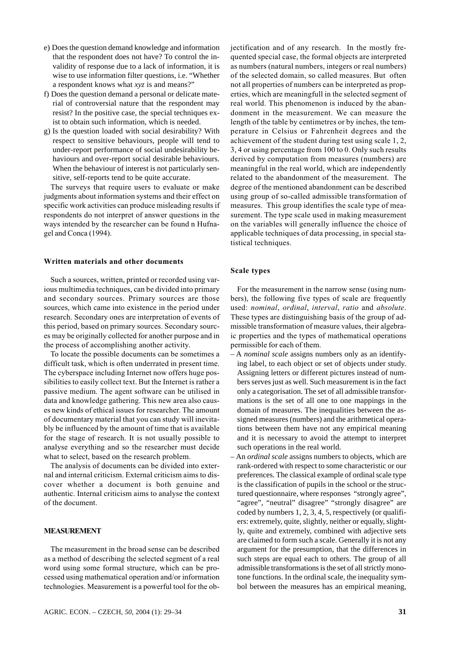- e) Does the question demand knowledge and information that the respondent does not have? To control the invalidity of response due to a lack of information, it is wise to use information filter questions, i.e. "Whether a respondent knows what xvz is and means?"
- f) Does the question demand a personal or delicate material of controversial nature that the respondent may resist? In the positive case, the special techniques exist to obtain such information, which is needed.
- g) Is the question loaded with social desirability? With respect to sensitive behaviours, people will tend to under-report performance of social undesirability behaviours and over-report social desirable behaviours. When the behaviour of interest is not particularly sensitive, self-reports tend to be quite accurate.

The surveys that require users to evaluate or make judgments about information systems and their effect on specific work activities can produce misleading results if respondents do not interpret of answer questions in the ways intended by the researcher can be found n Hufnagel and Conca (1994).

## Written materials and other documents

Such a sources, written, printed or recorded using various multimedia techniques, can be divided into primary and secondary sources. Primary sources are those sources, which came into existence in the period under research. Secondary ones are interpretation of events of this period, based on primary sources. Secondary sources may be originally collected for another purpose and in the process of accomplishing another activity.

To locate the possible documents can be sometimes a difficult task, which is often underrated in present time. The cyberspace including Internet now offers huge possibilities to easily collect text. But the Internet is rather a passive medium. The agent software can be utilised in data and knowledge gathering. This new area also causes new kinds of ethical issues for researcher. The amount of documentary material that you can study will inevitably be influenced by the amount of time that is available for the stage of research. It is not usually possible to analyse everything and so the researcher must decide what to select, based on the research problem.

The analysis of documents can be divided into external and internal criticism. External criticism aims to discover whether a document is both genuine and authentic. Internal criticism aims to analyse the context of the document.

# **MEASUREMENT**

The measurement in the broad sense can be described as a method of describing the selected segment of a real word using some formal structure, which can be processed using mathematical operation and/or information technologies. Measurement is a powerful tool for the objectification and of any research. In the mostly frequented special case, the formal objects are interpreted as numbers (natural numbers, integers or real numbers) of the selected domain, so called measures. But often not all properties of numbers can be interpreted as properties, which are meaningfull in the selected segment of real world. This phenomenon is induced by the abandonment in the measurement. We can measure the length of the table by centimetres or by inches, the temperature in Celsius or Fahrenheit degrees and the achievement of the student during test using scale 1, 2. 3, 4 or using percentage from 100 to 0. Only such results derived by computation from measures (numbers) are meaningful in the real world, which are independently related to the abandonment of the measurement. The degree of the mentioned abandonment can be described using group of so-called admissible transformation of measures. This group identifies the scale type of measurement. The type scale used in making measurement on the variables will generally influence the choice of applicable techniques of data processing, in special statistical techniques.

#### **Scale types**

For the measurement in the narrow sense (using numbers), the following five types of scale are frequently used: nominal, ordinal, interval, ratio and absolute. These types are distinguishing basis of the group of admissible transformation of measure values, their algebraic properties and the types of mathematical operations permissible for each of them.

- A nominal scale assigns numbers only as an identifying label, to each object or set of objects under study. Assigning letters or different pictures instead of numbers serves just as well. Such measurement is in the fact only a categorisation. The set of all admissible transformations is the set of all one to one mappings in the domain of measures. The inequalities between the assigned measures (numbers) and the arithmetical operations between them have not any empirical meaning and it is necessary to avoid the attempt to interpret such operations in the real world.
- An *ordinal scale* assigns numbers to objects, which are rank-ordered with respect to some characteristic or our preferences. The classical example of ordinal scale type is the classification of pupils in the school or the structured questionnaire, where responses "strongly agree", "agree", "neutral" disagree" "strongly disagree" are coded by numbers  $1, 2, 3, 4, 5$ , respectively (or qualifiers: extremely, quite, slightly, neither or equally, slightly, quite and extremely, combined with adjective sets are claimed to form such a scale. Generally it is not any argument for the presumption, that the differences in such steps are equal each to others. The group of all admissible transformations is the set of all strictly monotone functions. In the ordinal scale, the inequality symbol between the measures has an empirical meaning,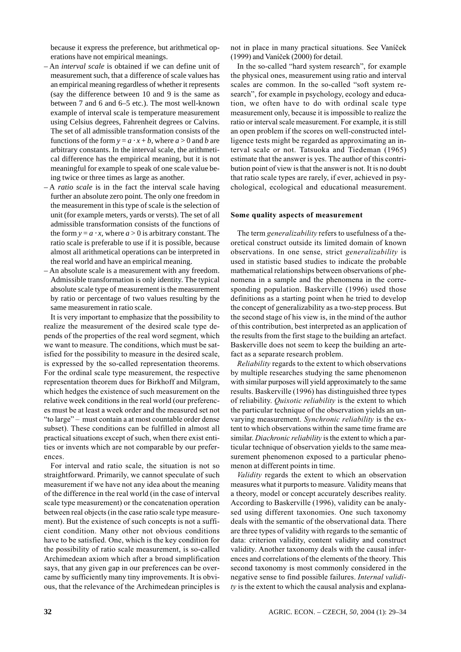because it express the preference, but arithmetical operations have not empirical meanings.

- An *interval scale* is obtained if we can define unit of measurement such, that a difference of scale values has an empirical meaning regardless of whether it represents (say the difference between 10 and 9 is the same as between 7 and 6 and 6–5 etc.). The most well-known example of interval scale is temperature measurement using Celsius degrees, Fahrenheit degrees or Calvins. The set of all admissible transformation consists of the functions of the form  $y = a \cdot x + b$ , where  $a > 0$  and *b* are arbitrary constants. In the interval scale, the arithmetical difference has the empirical meaning, but it is not meaningful for example to speak of one scale value being twice or three times as large as another.
- A *ratio scale* is in the fact the interval scale having further an absolute zero point. The only one freedom in the measurement in this type of scale is the selection of unit (for example meters, yards or versts). The set of all admissible transformation consists of the functions of the form  $y = a \cdot x$ , where  $a > 0$  is arbitrary constant. The ratio scale is preferable to use if it is possible, because almost all arithmetical operations can be interpreted in the real world and have an empirical meaning.
- An absolute scale is a measurement with any freedom. Admissible transformation is only identity. The typical absolute scale type of measurement is the measurement by ratio or percentage of two values resulting by the same measurement in ratio scale.

It is very important to emphasize that the possibility to realize the measurement of the desired scale type depends of the properties of the real word segment, which we want to measure. The conditions, which must be satisfied for the possibility to measure in the desired scale, is expressed by the so-called representation theorems. For the ordinal scale type measurement, the respective representation theorem dues for Birkhoff and Milgram, which hedges the existence of such measurement on the relative week conditions in the real world (our preferences must be at least a week order and the measured set not "to large" - must contain a at most countable order dense subset). These conditions can be fulfilled in almost all practical situations except of such, when there exist entities or invents which are not comparable by our preferences.

For interval and ratio scale, the situation is not so straightforward. Primarily, we cannot speculate of such measurement if we have not any idea about the meaning of the difference in the real world (in the case of interval scale type measurement) or the concatenation operation between real objects (in the case ratio scale type measurement). But the existence of such concepts is not a sufficient condition. Many other not obvious conditions have to be satisfied. One, which is the key condition for the possibility of ratio scale measurement, is so-called Archimedean axiom which after a broad simplification says, that any given gap in our preferences can be overcame by sufficiently many tiny improvements. It is obvious, that the relevance of the Archimedean principles is not in place in many practical situations. See Vaníček (1999) and Vaníček (2000) for detail.

In the so-called "hard system research", for example the physical ones, measurement using ratio and interval scales are common. In the so-called "soft system research", for example in psychology, ecology and education, we often have to do with ordinal scale type measurement only, because it is impossible to realize the ratio or interval scale measurement. For example, it is still an open problem if the scores on well-constructed intelligence tests might be regarded as approximating an interval scale or not. Tatsuoka and Tiedeman (1965) estimate that the answer is yes. The author of this contribution point of view is that the answer is not. It is no doubt that ratio scale types are rarely, if ever, achieved in psychological, ecological and educational measurement.

## Some quality aspects of measurement

The term generalizability refers to usefulness of a theoretical construct outside its limited domain of known observations. In one sense, strict generalizability is used in statistic based studies to indicate the probable mathematical relationships between observations of phenomena in a sample and the phenomena in the corresponding population. Baskerville (1996) used those definitions as a starting point when he tried to develop the concept of generalizability as a two-step process. But the second stage of his view is, in the mind of the author of this contribution, best interpreted as an application of the results from the first stage to the building an artefact. Baskerville does not seem to keep the building an artefact as a separate research problem.

Reliability regards to the extent to which observations by multiple researches studying the same phenomenon with similar purposes will yield approximately to the same results. Baskerville (1996) has distinguished three types of reliability. *Quixotic reliability* is the extent to which the particular technique of the observation yields an unvarying measurement. Synchronic reliability is the extent to which observations within the same time frame are similar. Diachronic reliability is the extent to which a particular technique of observation yields to the same measurement phenomenon exposed to a particular phenomenon at different points in time.

Validity regards the extent to which an observation measures what it purports to measure. Validity means that a theory, model or concept accurately describes reality. According to Baskerville (1996), validity can be analysed using different taxonomies. One such taxonomy deals with the semantic of the observational data. There are three types of validity with regards to the semantic of data: criterion validity, content validity and construct validity. Another taxonomy deals with the causal inferences and correlations of the elements of the theory. This second taxonomy is most commonly considered in the negative sense to find possible failures. Internal validi $ty$  is the extent to which the causal analysis and explana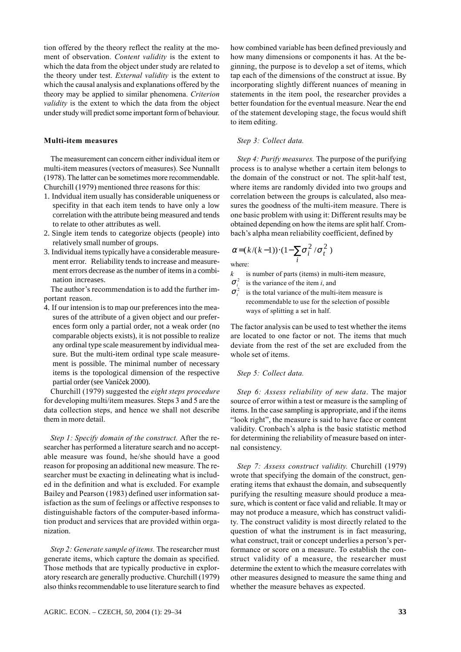tion offered by the theory reflect the reality at the moment of observation. Content validity is the extent to which the data from the object under study are related to the theory under test. External validity is the extent to which the causal analysis and explanations offered by the theory may be applied to similar phenomena. Criterion validity is the extent to which the data from the object under study will predict some important form of behaviour.

## Multi-item measures

The measurement can concern either individual item or multi-item measures (vectors of measures). See Nunnallt (1978). The latter can be sometimes more recommendable. Churchill (1979) mentioned three reasons for this:

- 1. Indvidual item usually has considerable uniqueness or specifity in that each item tends to have only a low correlation with the attribute being measured and tends to relate to other attributes as well.
- 2. Single item tends to categorize objects (people) into relatively small number of groups.
- 3. Individual items typically have a considerable measurement error. Reliability tends to increase and measurement errors decrease as the number of items in a combination increases.

The author's recommendation is to add the further important reason.

4. If our intension is to map our preferences into the measures of the attribute of a given object and our preferences form only a partial order, not a weak order (no comparable objects exists), it is not possible to realize any ordinal type scale measurement by individual measure. But the multi-item ordinal type scale measurement is possible. The minimal number of necessary items is the topological dimension of the respective partial order (see Vaníček 2000).

Churchill (1979) suggested the eight steps procedure for developing multi/item measures. Steps 3 and 5 are the data collection steps, and hence we shall not describe them in more detail.

Step 1: Specify domain of the construct. After the researcher has performed a literature search and no acceptable measure was found, he/she should have a good reason for proposing an additional new measure. The researcher must be exacting in delineating what is included in the definition and what is excluded. For example Bailey and Pearson (1983) defined user information satisfaction as the sum of feelings or affective responses to distinguishable factors of the computer-based information product and services that are provided within organization.

Step 2: Generate sample of items. The researcher must generate items, which capture the domain as specified. Those methods that are typically productive in exploratory research are generally productive. Churchill (1979) also thinks recommendable to use literature search to find how combined variable has been defined previously and how many dimensions or components it has. At the beginning, the purpose is to develop a set of items, which tap each of the dimensions of the construct at issue. By incorporating slightly different nuances of meaning in statements in the item pool, the researcher provides a better foundation for the eventual measure. Near the end of the statement developing stage, the focus would shift to item editing.

#### Step 3: Collect data.

Step 4: Purify measures. The purpose of the purifying process is to analyse whether a certain item belongs to the domain of the construct or not. The split-half test, where items are randomly divided into two groups and correlation between the groups is calculated, also measures the goodness of the multi-item measure. There is one basic problem with using it: Different results may be obtained depending on how the items are split half. Crombach's alpha mean reliability coefficient, defined by

$$
\alpha = (k/(k-1)) \cdot (1 - \sum_i \sigma_i^2 / \sigma_t^2)
$$

where:

- $\boldsymbol{k}$ s number of parts (items) in multi-item measure,
- $\sigma^2$ s the variance of the item *i*, and
- $\sigma^2$ s the total variance of the multi-item measure is recommendable to use for the selection of possible ways of splitting a set in half.

The factor analysis can be used to test whether the items are located to one factor or not. The items that much deviate from the rest of the set are excluded from the whole set of items.

#### Step 5: Collect data.

Step 6: Assess reliability of new data. The major source of error within a test or measure is the sampling of items. In the case sampling is appropriate, and if the items "look right", the measure is said to have face or content validity. Cronbach's alpha is the basic statistic method for determining the reliability of measure based on internal consistency.

Step 7: Assess construct validity. Churchill (1979) wrote that specifying the domain of the construct, generating items that exhaust the domain, and subsequently purifying the resulting measure should produce a measure, which is content or face valid and reliable. It may or may not produce a measure, which has construct validity. The construct validity is most directly related to the question of what the instrument is in fact measuring, what construct, trait or concept underlies a person's performance or score on a measure. To establish the construct validity of a measure, the researcher must determine the extent to which the measure correlates with other measures designed to measure the same thing and whether the measure behaves as expected.